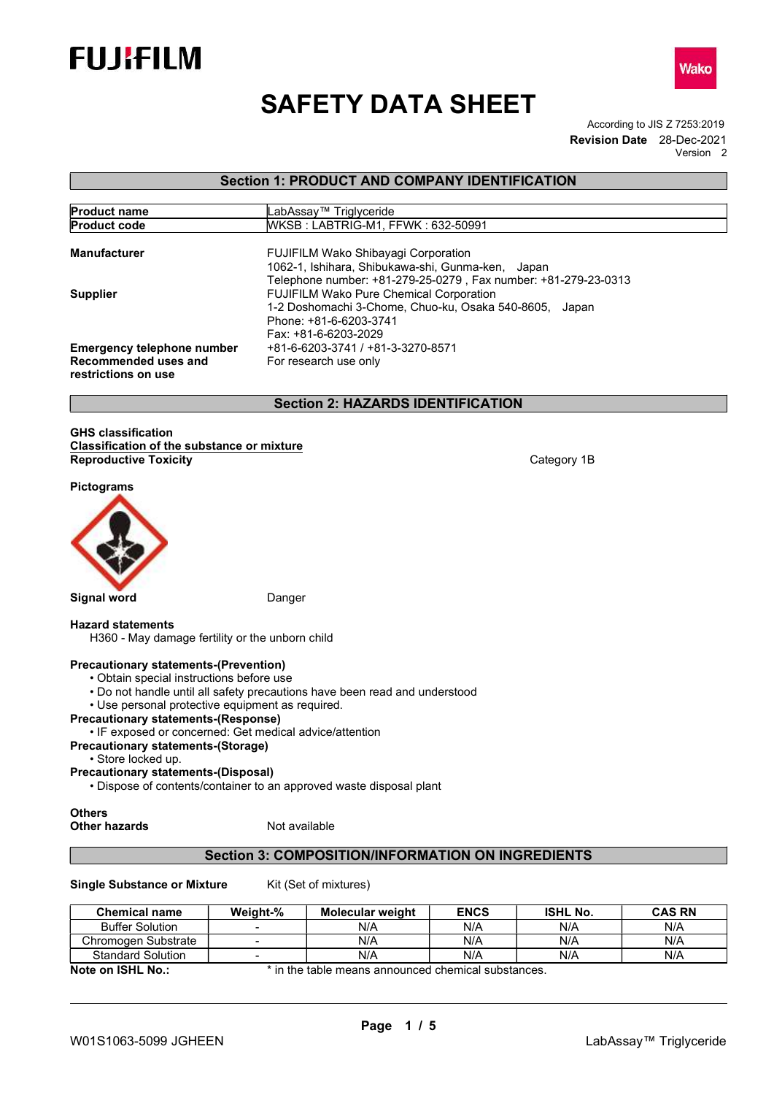





Version 2

Wako

# Section 1: PRODUCT AND COMPANY IDENTIFICATION

| <b>Product name</b>                         | LabAssay™ Triglyceride                                                                                              |
|---------------------------------------------|---------------------------------------------------------------------------------------------------------------------|
| <b>Product code</b>                         | WKSB: LABTRIG-M1, FFWK: 632-50991                                                                                   |
| <b>Manufacturer</b>                         | <b>FUJIFILM Wako Shibayagi Corporation</b>                                                                          |
|                                             | 1062-1, Ishihara, Shibukawa-shi, Gunma-ken, Japan<br>Telephone number: +81-279-25-0279, Fax number: +81-279-23-0313 |
| <b>Supplier</b>                             | <b>FUJIFILM Wako Pure Chemical Corporation</b>                                                                      |
|                                             | 1-2 Doshomachi 3-Chome, Chuo-ku, Osaka 540-8605, Japan                                                              |
|                                             | Phone: +81-6-6203-3741                                                                                              |
|                                             | Fax: +81-6-6203-2029                                                                                                |
| <b>Emergency telephone number</b>           | +81-6-6203-3741 / +81-3-3270-8571                                                                                   |
| Recommended uses and<br>restrictions on use | For research use only                                                                                               |

# Section 2: HAZARDS IDENTIFICATION

#### GHS classification Classification of the substance or mixture Reproductive Toxicity Category 1B and the Category 1B and Category 1B and Category 1B

Pictograms



# Hazard statements

H360 - May damage fertility or the unborn child

# Precautionary statements-(Prevention)

- Obtain special instructions before use
- Do not handle until all safety precautions have been read and understood
- Use personal protective equipment as required.

# Precautionary statements-(Response)

# • IF exposed or concerned: Get medical advice/attention

- Precautionary statements-(Storage)
	- Store locked up.
- Precautionary statements-(Disposal)
	- Dispose of contents/container to an approved waste disposal plant

**Others** 

Other hazards Not available

# Section 3: COMPOSITION/INFORMATION ON INGREDIENTS

Single Substance or Mixture Kit (Set of mixtures)

| <b>Chemical name</b>     | Weight-% | <b>Molecular weight</b> | <b>ENCS</b> | <b>ISHL No.</b> | <b>CAS RN</b> |
|--------------------------|----------|-------------------------|-------------|-----------------|---------------|
| <b>Buffer Solution</b>   |          | N/A                     | N/A         | N/A             | N/A           |
| Chromogen Substrate      |          | N/A                     | N/A         | N/A             | N/A           |
| <b>Standard Solution</b> |          | N/A                     | N/A         | N/A             | N/A           |

Note on ISHL No.: \* in the table means announced chemical substances.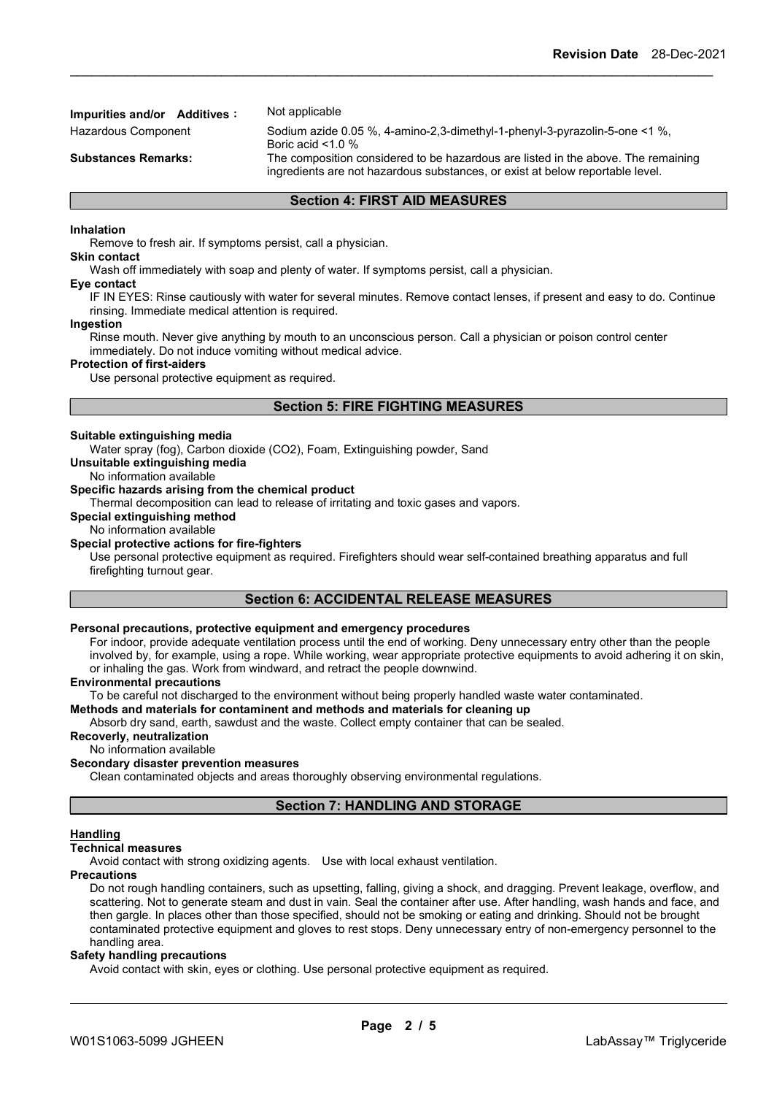# Impurities and/or Additives: Not applicable

Hazardous Component Sodium azide 0.05 %, 4-amino-2,3-dimethyl-1-phenyl-3-pyrazolin-5-one <1 %, Boric acid <1.0 % Substances Remarks: The composition considered to be hazardous are listed in the above. The remaining ingredients are not hazardous substances, or exist at below reportable level.

# Section 4: FIRST AID MEASURES

#### Inhalation

Remove to fresh air. If symptoms persist, call a physician.

Skin contact

Wash off immediately with soap and plenty of water. If symptoms persist, call a physician.

#### Eye contact

IF IN EYES: Rinse cautiously with water for several minutes. Remove contact lenses, if present and easy to do. Continue rinsing. Immediate medical attention is required.

#### Ingestion

Rinse mouth. Never give anything by mouth to an unconscious person. Call a physician or poison control center immediately. Do not induce vomiting without medical advice.

#### Protection of first-aiders

Use personal protective equipment as required.

# Section 5: FIRE FIGHTING MEASURES

#### Suitable extinguishing media

Water spray (fog), Carbon dioxide (CO2), Foam, Extinguishing powder, Sand

Unsuitable extinguishing media

No information available

# Specific hazards arising from the chemical product

Thermal decomposition can lead to release of irritating and toxic gases and vapors.

# Special extinguishing method

#### No information available Special protective actions for fire-fighters

Use personal protective equipment as required. Firefighters should wear self-contained breathing apparatus and full firefighting turnout gear.

# Section 6: ACCIDENTAL RELEASE MEASURES

# Personal precautions, protective equipment and emergency procedures

For indoor, provide adequate ventilation process until the end of working. Deny unnecessary entry other than the people involved by, for example, using a rope. While working, wear appropriate protective equipments to avoid adhering it on skin, or inhaling the gas. Work from windward, and retract the people downwind.

#### Environmental precautions

To be careful not discharged to the environment without being properly handled waste water contaminated.

# Methods and materials for contaminent and methods and materials for cleaning up

Absorb dry sand, earth, sawdust and the waste. Collect empty container that can be sealed.

# Recoverly, neutralization

No information available

# Secondary disaster prevention measures

Clean contaminated objects and areas thoroughly observing environmental regulations.

# Section 7: HANDLING AND STORAGE

#### Handling

## Technical measures

Avoid contact with strong oxidizing agents. Use with local exhaust ventilation.

#### **Precautions**

Do not rough handling containers, such as upsetting, falling, giving a shock, and dragging. Prevent leakage, overflow, and scattering. Not to generate steam and dust in vain. Seal the container after use. After handling, wash hands and face, and then gargle. In places other than those specified, should not be smoking or eating and drinking. Should not be brought contaminated protective equipment and gloves to rest stops. Deny unnecessary entry of non-emergency personnel to the handling area.

#### Safety handling precautions

Avoid contact with skin, eyes or clothing. Use personal protective equipment as required.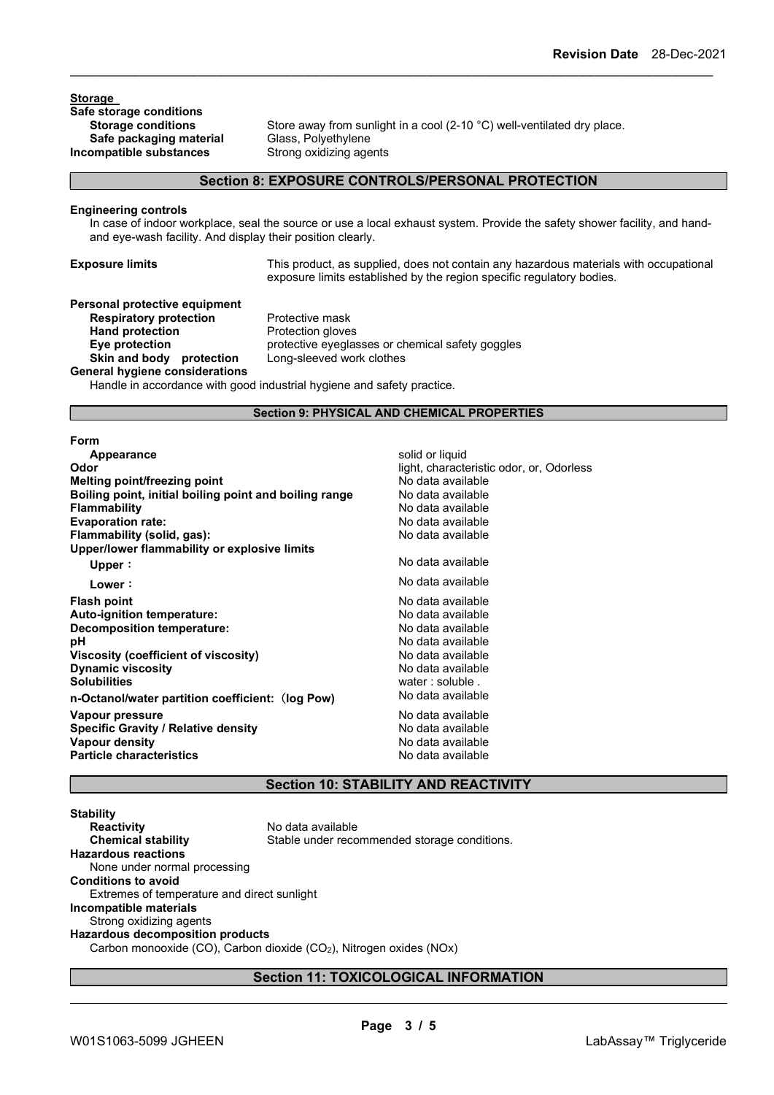Storage Safe storage conditions<br>Storage conditions Safe packaging material Incompatible substances Strong oxidizing agents

Store away from sunlight in a cool (2-10 °C) well-ventilated dry place.<br>Glass. Polvethvlene

#### Section 8: EXPOSURE CONTROLS/PERSONAL PROTECTION

#### Engineering controls

In case of indoor workplace, seal the source or use a local exhaust system. Provide the safety shower facility, and handand eye-wash facility. And display their position clearly.

Exposure limits This product, as supplied, does not contain any hazardous materials with occupational exposure limits established by the region specific regulatory bodies.

## Personal protective equipment **Respiratory protection** Protective mask Hand protection **Protection** Protection gloves Eye protection protective eyeglasses or chemical safety goggles Skin and body protection Long-sleeved work clothes General hygiene considerations

Handle in accordance with good industrial hygiene and safety practice.

#### Section 9: PHYSICAL AND CHEMICAL PROPERTIES

#### Form

| Appearance                                             | solid or liquid                          |
|--------------------------------------------------------|------------------------------------------|
| Odor                                                   | light, characteristic odor, or, Odorless |
| <b>Melting point/freezing point</b>                    | No data available                        |
| Boiling point, initial boiling point and boiling range | No data available                        |
| <b>Flammability</b>                                    | No data available                        |
| <b>Evaporation rate:</b>                               | No data available                        |
| Flammability (solid, gas):                             | No data available                        |
| Upper/lower flammability or explosive limits           |                                          |
| Upper:                                                 | No data available                        |
| Lower:                                                 | No data available                        |
| <b>Flash point</b>                                     | No data available                        |
| Auto-ignition temperature:                             | No data available                        |
| Decomposition temperature:                             | No data available                        |
| рH                                                     | No data available                        |
| <b>Viscosity (coefficient of viscosity)</b>            | No data available                        |
| <b>Dynamic viscosity</b>                               | No data available                        |
| <b>Solubilities</b>                                    | water: soluble.                          |
| n-Octanol/water partition coefficient: (log Pow)       | No data available                        |
| Vapour pressure                                        | No data available                        |
| <b>Specific Gravity / Relative density</b>             | No data available                        |
| Vapour density                                         | No data available                        |
| <b>Particle characteristics</b>                        | No data available                        |
|                                                        |                                          |

# Section 10: STABILITY AND REACTIVITY

**Stability Reactivity** No data available<br> **Chemical stability** Stable under reco Stable under recommended storage conditions. Hazardous reactions None under normal processing Conditions to avoid Extremes of temperature and direct sunlight Incompatible materials Strong oxidizing agents Hazardous decomposition products Carbon monooxide (CO), Carbon dioxide (CO2), Nitrogen oxides (NOx)

# Section 11: TOXICOLOGICAL INFORMATION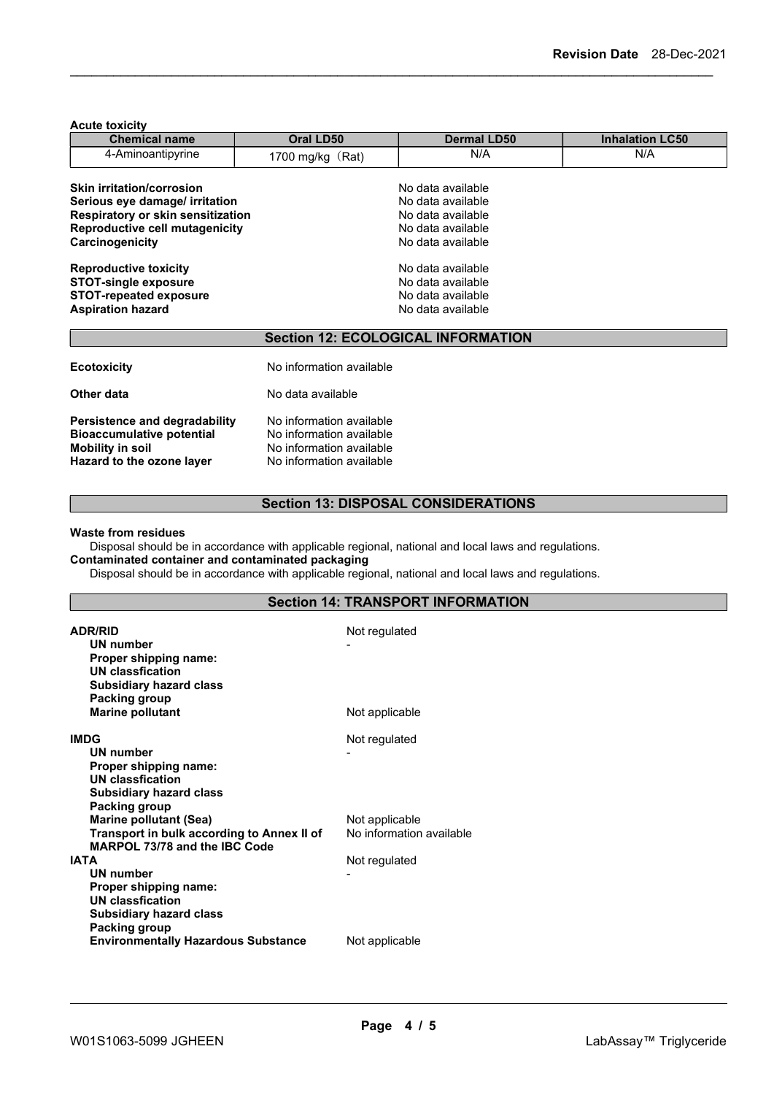| <b>Acute toxicity</b>                                                                                        |                          |                                            |                        |  |  |
|--------------------------------------------------------------------------------------------------------------|--------------------------|--------------------------------------------|------------------------|--|--|
| <b>Chemical name</b>                                                                                         | Oral LD50                | <b>Dermal LD50</b>                         | <b>Inhalation LC50</b> |  |  |
| 4-Aminoantipyrine                                                                                            | 1700 mg/kg (Rat)         | N/A                                        | N/A                    |  |  |
| <b>Skin irritation/corrosion</b>                                                                             |                          | No data available                          |                        |  |  |
| Serious eye damage/ irritation<br>Respiratory or skin sensitization<br><b>Reproductive cell mutagenicity</b> |                          | No data available                          |                        |  |  |
|                                                                                                              |                          | No data available                          |                        |  |  |
|                                                                                                              |                          | No data available                          |                        |  |  |
| Carcinogenicity                                                                                              |                          | No data available                          |                        |  |  |
| <b>Reproductive toxicity</b>                                                                                 |                          | No data available                          |                        |  |  |
| <b>STOT-single exposure</b>                                                                                  |                          | No data available                          |                        |  |  |
| <b>STOT-repeated exposure</b>                                                                                |                          | No data available                          |                        |  |  |
| <b>Aspiration hazard</b>                                                                                     |                          | No data available                          |                        |  |  |
|                                                                                                              |                          | <b>Section 12: ECOLOGICAL INFORMATION</b>  |                        |  |  |
| <b>Ecotoxicity</b>                                                                                           | No information available |                                            |                        |  |  |
| Other data                                                                                                   | No data available        |                                            |                        |  |  |
| <b>Persistence and degradability</b>                                                                         | No information available |                                            |                        |  |  |
| <b>Bioaccumulative potential</b>                                                                             | No information available |                                            |                        |  |  |
| <b>Mobility in soil</b>                                                                                      |                          | No information available                   |                        |  |  |
| Hazard to the ozone layer                                                                                    | No information available |                                            |                        |  |  |
|                                                                                                              |                          |                                            |                        |  |  |
|                                                                                                              |                          | <b>Section 13: DISPOSAL CONSIDERATIONS</b> |                        |  |  |

#### Waste from residues

Disposal should be in accordance with applicable regional, national and local laws and regulations. Contaminated container and contaminated packaging

Disposal should be in accordance with applicable regional, national and local laws and regulations.

| <b>ADR/RID</b><br>UN number<br>Proper shipping name:<br>UN classfication | Not regulated            |
|--------------------------------------------------------------------------|--------------------------|
| <b>Subsidiary hazard class</b>                                           |                          |
| Packing group                                                            |                          |
| <b>Marine pollutant</b>                                                  | Not applicable           |
| IMDG                                                                     | Not regulated            |
| UN number                                                                |                          |
| Proper shipping name:                                                    |                          |
| UN classfication                                                         |                          |
| <b>Subsidiary hazard class</b>                                           |                          |
| Packing group                                                            |                          |
| <b>Marine pollutant (Sea)</b>                                            | Not applicable           |
| Transport in bulk according to Annex II of                               | No information available |
| MARPOL 73/78 and the IBC Code                                            |                          |
| <b>IATA</b>                                                              | Not regulated            |
| UN number                                                                |                          |
| Proper shipping name:                                                    |                          |
| UN classfication                                                         |                          |
| <b>Subsidiary hazard class</b>                                           |                          |
| Packing group                                                            |                          |
| <b>Environmentally Hazardous Substance</b>                               | Not applicable           |
|                                                                          |                          |

# Section 14: TRANSPORT INFORMATION